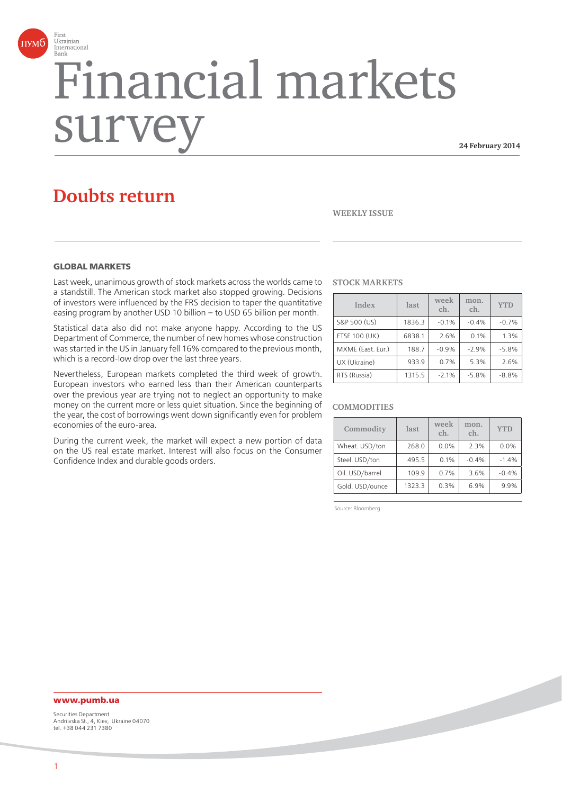

# Financial markets surve

**24 February 2014**

# **Doubts return**

#### **WEEKLY ISSUE**

#### **GLOBAL MARKETS**

Last week, unanimous growth of stock markets across the worlds came to a standstill. The American stock market also stopped growing. Decisions of investors were influenced by the FRS decision to taper the quantitative easing program by another USD 10 billion – to USD 65 billion per month.

Statistical data also did not make anyone happy. According to the US Department of Commerce, the number of new homes whose construction was started in the US in January fell 16% compared to the previous month, which is a record-low drop over the last three years.

Nevertheless, European markets completed the third week of growth. European investors who earned less than their American counterparts over the previous year are trying not to neglect an opportunity to make money on the current more or less quiet situation. Since the beginning of the year, the cost of borrowings went down significantly even for problem economies of the euro-area.

During the current week, the market will expect a new portion of data on the US real estate market. Interest will also focus on the Consumer Confidence Index and durable goods orders.

#### **STOCK MARKETS**

| Index                | last   | week<br>ch. | mon.<br>ch. | <b>YTD</b> |
|----------------------|--------|-------------|-------------|------------|
| S&P 500 (US)         | 1836.3 | $-0.1%$     | $-0.4%$     | $-0.7%$    |
| <b>FTSE 100 (UK)</b> | 6838.1 | 2.6%        | 0.1%        | 1.3%       |
| MXME (East. Eur.)    | 188.7  | $-0.9%$     | $-2.9%$     | $-5.8%$    |
| UX (Ukraine)         | 933.9  | 0.7%        | 5.3%        | 2.6%       |
| RTS (Russia)         | 1315.5 | $-2.1%$     | $-5.8%$     | $-8.8%$    |

#### **COMMODITIES**

| Commodity       | last   | week<br>ch. | mon.<br>ch. | <b>YTD</b> |
|-----------------|--------|-------------|-------------|------------|
| Wheat. USD/ton  | 268.0  | 0.0%        | 2.3%        | 0.0%       |
| Steel. USD/ton  | 495.5  | 0.1%        | $-0.4%$     | $-1.4%$    |
| Oil. USD/barrel | 109.9  | 0.7%        | 3.6%        | $-0.4%$    |
| Gold. USD/ounce | 1323.3 | 0.3%        | 6.9%        | 9.9%       |

Source: Bloomberg

#### **www.pumb.ua**

Securities Department Andriivska St., 4, Kiev, Ukraine 04070 tel. +38 044 231 7380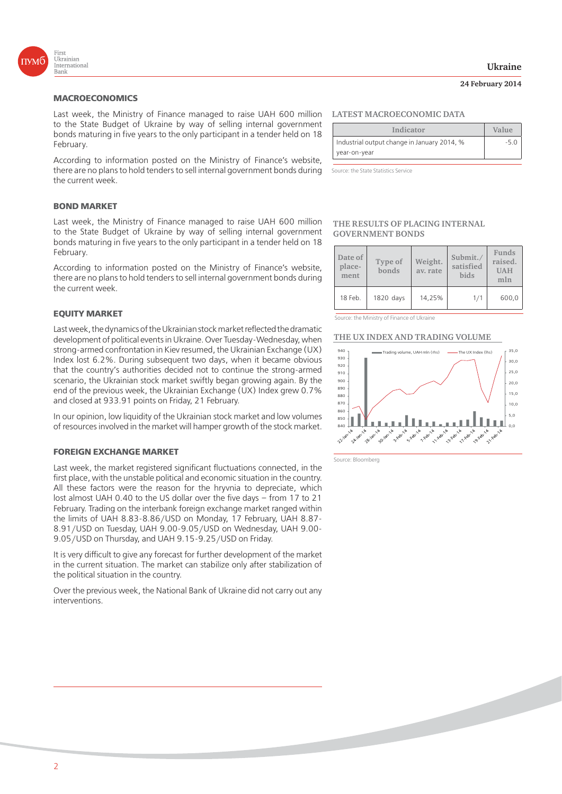

#### **MACROECONOMICS**

Last week, the Ministry of Finance managed to raise UAH 600 million to the State Budget of Ukraine by way of selling internal government bonds maturing in five years to the only participant in a tender held on 18 February.

According to information posted on the Ministry of Finance's website, there are no plans to hold tenders to sell internal government bonds during the current week.

#### **BOND MARKET**

Last week, the Ministry of Finance managed to raise UAH 600 million to the State Budget of Ukraine by way of selling internal government bonds maturing in five years to the only participant in a tender held on 18 February.

According to information posted on the Ministry of Finance's website, there are no plans to hold tenders to sell internal government bonds during the current week.

#### **EQUITY MARKET**

Last week, the dynamics of the Ukrainian stock market reflected the dramatic development of political events in Ukraine. Over Tuesday-Wednesday, when strong-armed confrontation in Kiev resumed, the Ukrainian Exchange (UX) Index lost 6.2%. During subsequent two days, when it became obvious that the country's authorities decided not to continue the strong-armed scenario, the Ukrainian stock market swiftly began growing again. By the end of the previous week, the Ukrainian Exchange (UX) Index grew 0.7% and closed at 933.91 points on Friday, 21 February.

In our opinion, low liquidity of the Ukrainian stock market and low volumes of resources involved in the market will hamper growth of the stock market.

#### **FOREIGN EXCHANGE MARKET**

Last week, the market registered significant fluctuations connected, in the first place, with the unstable political and economic situation in the country. All these factors were the reason for the hryvnia to depreciate, which lost almost UAH 0.40 to the US dollar over the five days – from 17 to 21 February. Trading on the interbank foreign exchange market ranged within the limits of UAH 8.83-8.86/USD on Monday, 17 February, UAH 8.87- 8.91/USD on Tuesday, UAH 9.00-9.05/USD on Wednesday, UAH 9.00- 9.05/USD on Thursday, and UAH 9.15-9.25/USD on Friday.

It is very difficult to give any forecast for further development of the market in the current situation. The market can stabilize only after stabilization of the political situation in the country.

Over the previous week, the National Bank of Ukraine did not carry out any interventions.

#### **LATEST MACROECONOMIC DATA**

| Indicator                                   | Value  |
|---------------------------------------------|--------|
| Industrial output change in January 2014, % | $-5.0$ |
| year-on-year                                |        |

Source: the State Statistics Service

#### **THE RESULTS OF PLACING INTERNAL GOVERNMENT BONDS**

| Date of<br>place-<br>ment | Type of<br>bonds | Weight.<br>av. rate | Submit./<br>satisfied<br><b>bids</b> | Funds<br>raised.<br><b>UAH</b><br>mln |
|---------------------------|------------------|---------------------|--------------------------------------|---------------------------------------|
| 18 Feb.                   | 1820 days        | 14.25%              | 1/1                                  | 600,0                                 |

Source: the Ministry of Finance of Ukraine

#### **THE UX INDEX AND TRADING VOLUME**



Source: Bloomberg

#### **Ukraine**

#### **24 February 2014**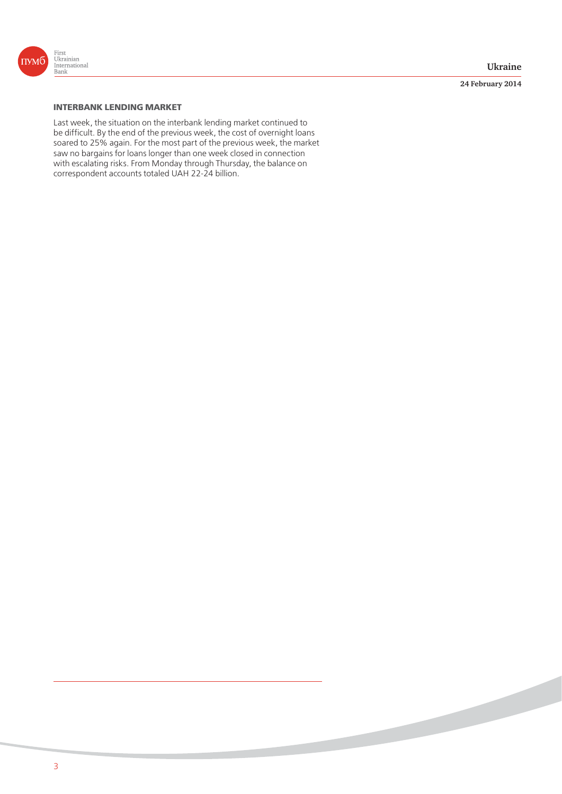

**24 February 2014**

## **INTERBANK LENDING MARKET**

Last week, the situation on the interbank lending market continued to be difficult. By the end of the previous week, the cost of overnight loans soared to 25% again. For the most part of the previous week, the market saw no bargains for loans longer than one week closed in connection with escalating risks. From Monday through Thursday, the balance on correspondent accounts totaled UAH 22-24 billion.